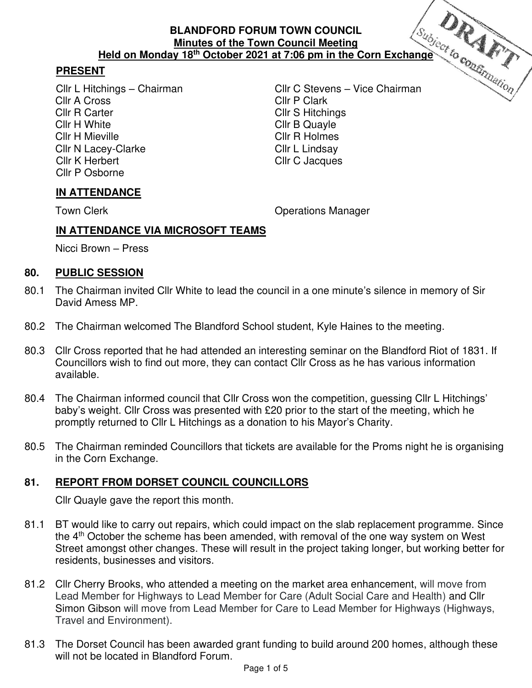## **PRESENT**

Cllr A Cross Cllr R Carter Clifford Cllr S Hitchings Cllr H White Cllr B Quayle Cllr H Mieville **Cllr R Holmes** Cllr N Lacey-Clarke<br>Cllr K Herbert Cllr C Jacques Cllr P Osborne

Cllr L Hitchings – Chairman Cllr C Stevens – Vice Chairman Cllr C Jacques

## **IN ATTENDANCE**

Town Clerk **Town Clear Clerk** Clear Contract Clear Clear Clear Clear Clear Clear Clear Clear Clear Clear Clear Clear Clear Clear Clear Clear Clear Clear Clear Clear Clear Clear Clear Clear Clear Clear Clear Clear Clear Cle

## **IN ATTENDANCE VIA MICROSOFT TEAMS**

Nicci Brown – Press

#### **80. PUBLIC SESSION**

- 80.1 The Chairman invited Cllr White to lead the council in a one minute's silence in memory of Sir David Amess MP.
- 80.2 The Chairman welcomed The Blandford School student, Kyle Haines to the meeting.
- 80.3 Cllr Cross reported that he had attended an interesting seminar on the Blandford Riot of 1831. If Councillors wish to find out more, they can contact Cllr Cross as he has various information available.
- 80.4 The Chairman informed council that Cllr Cross won the competition, guessing Cllr L Hitchings' baby's weight. Cllr Cross was presented with £20 prior to the start of the meeting, which he promptly returned to Cllr L Hitchings as a donation to his Mayor's Charity.
- 80.5 The Chairman reminded Councillors that tickets are available for the Proms night he is organising in the Corn Exchange.

## **81. REPORT FROM DORSET COUNCIL COUNCILLORS**

Cllr Quayle gave the report this month.

- 81.1 BT would like to carry out repairs, which could impact on the slab replacement programme. Since the  $4<sup>th</sup>$  October the scheme has been amended, with removal of the one way system on West Street amongst other changes. These will result in the project taking longer, but working better for residents, businesses and visitors.
- 81.2 Cllr Cherry Brooks, who attended a meeting on the market area enhancement, will move from Lead Member for Highways to Lead Member for Care (Adult Social Care and Health) and Cllr Simon Gibson will move from Lead Member for Care to Lead Member for Highways (Highways, Travel and Environment).
- 81.3 The Dorset Council has been awarded grant funding to build around 200 homes, although these will not be located in Blandford Forum.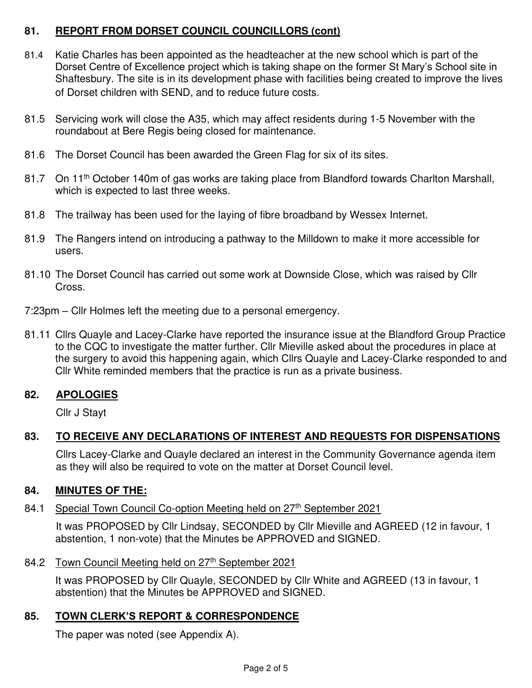### **81. REPORT FROM DORSET COUNCIL COUNCILLORS (cont)**

- 81.4 Katie Charles has been appointed as the headteacher at the new school which is part of the Dorset Centre of Excellence project which is taking shape on the former St Mary's School site in Shaftesbury. The site is in its development phase with facilities being created to improve the lives of Dorset children with SEND, and to reduce future costs.
- 81.5 Servicing work will close the A35, which may affect residents during 1-5 November with the roundabout at Bere Regis being closed for maintenance.
- 81.6 The Dorset Council has been awarded the Green Flag for six of its sites.
- 81.7 On 11<sup>th</sup> October 140m of gas works are taking place from Blandford towards Charlton Marshall, which is expected to last three weeks.
- 81.8 The trailway has been used for the laying of fibre broadband by Wessex Internet.
- 81.9 The Rangers intend on introducing a pathway to the Milldown to make it more accessible for users.
- 81.10 The Dorset Council has carried out some work at Downside Close, which was raised by Cllr Cross.
- 7:23pm Cllr Holmes left the meeting due to a personal emergency.
- 81.11 Cllrs Quayle and Lacey-Clarke have reported the insurance issue at the Blandford Group Practice to the CQC to investigate the matter further. Cllr Mieville asked about the procedures in place at the surgery to avoid this happening again, which Cllrs Quayle and Lacey-Clarke responded to and Cllr White reminded members that the practice is run as a private business.

### **82. APOLOGIES**

Cllr J Stayt

### **83. TO RECEIVE ANY DECLARATIONS OF INTEREST AND REQUESTS FOR DISPENSATIONS**

Cllrs Lacey-Clarke and Quayle declared an interest in the Community Governance agenda item as they will also be required to vote on the matter at Dorset Council level.

#### **84. MINUTES OF THE:**

#### 84.1 Special Town Council Co-option Meeting held on 27<sup>th</sup> September 2021

 It was PROPOSED by Cllr Lindsay, SECONDED by Cllr Mieville and AGREED (12 in favour, 1 abstention, 1 non-vote) that the Minutes be APPROVED and SIGNED.

#### 84.2 Town Council Meeting held on 27th September 2021

It was PROPOSED by Cllr Quayle, SECONDED by Cllr White and AGREED (13 in favour, 1 abstention) that the Minutes be APPROVED and SIGNED.

#### **85. TOWN CLERK'S REPORT & CORRESPONDENCE**

The paper was noted (see Appendix A).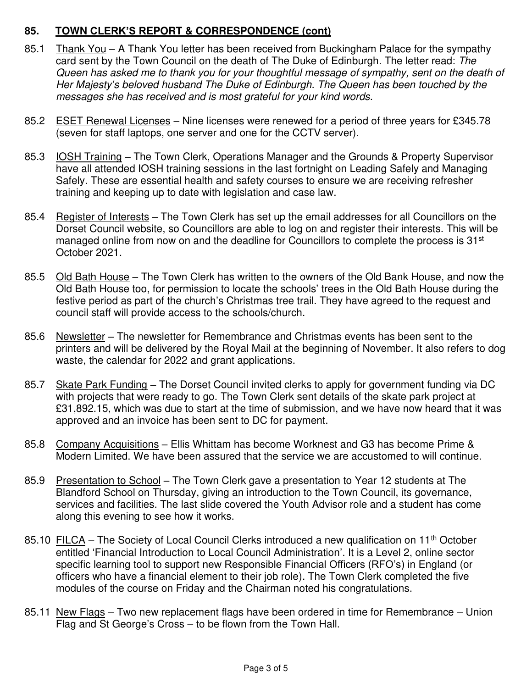### **85. TOWN CLERK'S REPORT & CORRESPONDENCE (cont)**

- 85.1 Thank You A Thank You letter has been received from Buckingham Palace for the sympathy card sent by the Town Council on the death of The Duke of Edinburgh. The letter read: The Queen has asked me to thank you for your thoughtful message of sympathy, sent on the death of Her Majesty*'*s beloved husband The Duke of Edinburgh. The Queen has been touched by the messages she has received and is most grateful for your kind words.
- 85.2 ESET Renewal Licenses Nine licenses were renewed for a period of three years for £345.78 (seven for staff laptops, one server and one for the CCTV server).
- 85.3 IOSH Training The Town Clerk, Operations Manager and the Grounds & Property Supervisor have all attended IOSH training sessions in the last fortnight on Leading Safely and Managing Safely. These are essential health and safety courses to ensure we are receiving refresher training and keeping up to date with legislation and case law.
- 85.4 Register of Interests The Town Clerk has set up the email addresses for all Councillors on the Dorset Council website, so Councillors are able to log on and register their interests. This will be managed online from now on and the deadline for Councillors to complete the process is 31<sup>st</sup> October 2021.
- 85.5 Old Bath House The Town Clerk has written to the owners of the Old Bank House, and now the Old Bath House too, for permission to locate the schools' trees in the Old Bath House during the festive period as part of the church's Christmas tree trail. They have agreed to the request and council staff will provide access to the schools/church.
- 85.6 Newsletter The newsletter for Remembrance and Christmas events has been sent to the printers and will be delivered by the Royal Mail at the beginning of November. It also refers to dog waste, the calendar for 2022 and grant applications.
- 85.7 Skate Park Funding The Dorset Council invited clerks to apply for government funding via DC with projects that were ready to go. The Town Clerk sent details of the skate park project at £31,892.15, which was due to start at the time of submission, and we have now heard that it was approved and an invoice has been sent to DC for payment.
- 85.8 Company Acquisitions Ellis Whittam has become Worknest and G3 has become Prime & Modern Limited. We have been assured that the service we are accustomed to will continue.
- 85.9 Presentation to School The Town Clerk gave a presentation to Year 12 students at The Blandford School on Thursday, giving an introduction to the Town Council, its governance, services and facilities. The last slide covered the Youth Advisor role and a student has come along this evening to see how it works.
- 85.10 FILCA The Society of Local Council Clerks introduced a new qualification on 11<sup>th</sup> October entitled 'Financial Introduction to Local Council Administration'. It is a Level 2, online sector specific learning tool to support new Responsible Financial Officers (RFO's) in England (or officers who have a financial element to their job role). The Town Clerk completed the five modules of the course on Friday and the Chairman noted his congratulations.
- 85.11 New Flags Two new replacement flags have been ordered in time for Remembrance Union Flag and St George's Cross – to be flown from the Town Hall.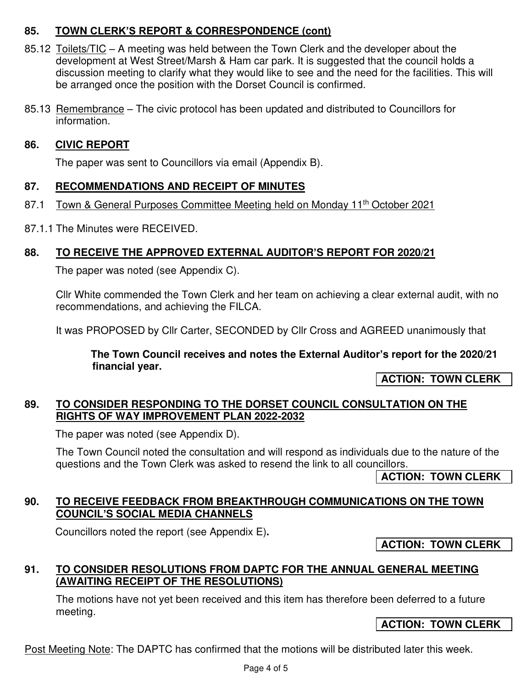## **85. TOWN CLERK'S REPORT & CORRESPONDENCE (cont)**

- 85.12 Toilets/TIC A meeting was held between the Town Clerk and the developer about the development at West Street/Marsh & Ham car park. It is suggested that the council holds a discussion meeting to clarify what they would like to see and the need for the facilities. This will be arranged once the position with the Dorset Council is confirmed.
- 85.13 Remembrance The civic protocol has been updated and distributed to Councillors for information.

### **86. CIVIC REPORT**

The paper was sent to Councillors via email (Appendix B).

#### **87. RECOMMENDATIONS AND RECEIPT OF MINUTES**

- 87.1 Town & General Purposes Committee Meeting held on Monday 11<sup>th</sup> October 2021
- 87.1.1 The Minutes were RECEIVED.

### **88. TO RECEIVE THE APPROVED EXTERNAL AUDITOR'S REPORT FOR 2020/21**

The paper was noted (see Appendix C).

Cllr White commended the Town Clerk and her team on achieving a clear external audit, with no recommendations, and achieving the FILCA.

It was PROPOSED by Cllr Carter, SECONDED by Cllr Cross and AGREED unanimously that

**The Town Council receives and notes the External Auditor's report for the 2020/21 financial year.** 

**ACTION: TOWN CLERK** 

#### **89. TO CONSIDER RESPONDING TO THE DORSET COUNCIL CONSULTATION ON THE RIGHTS OF WAY IMPROVEMENT PLAN 2022-2032**

The paper was noted (see Appendix D).

The Town Council noted the consultation and will respond as individuals due to the nature of the questions and the Town Clerk was asked to resend the link to all councillors.

**ACTION: TOWN CLERK** 

#### **90. TO RECEIVE FEEDBACK FROM BREAKTHROUGH COMMUNICATIONS ON THE TOWN COUNCIL'S SOCIAL MEDIA CHANNELS**

Councillors noted the report (see Appendix E)**.** 

**ACTION: TOWN CLERK** 

### **91. TO CONSIDER RESOLUTIONS FROM DAPTC FOR THE ANNUAL GENERAL MEETING (AWAITING RECEIPT OF THE RESOLUTIONS)**

The motions have not yet been received and this item has therefore been deferred to a future meeting.

#### **ACTION: TOWN CLERK**

Post Meeting Note: The DAPTC has confirmed that the motions will be distributed later this week.